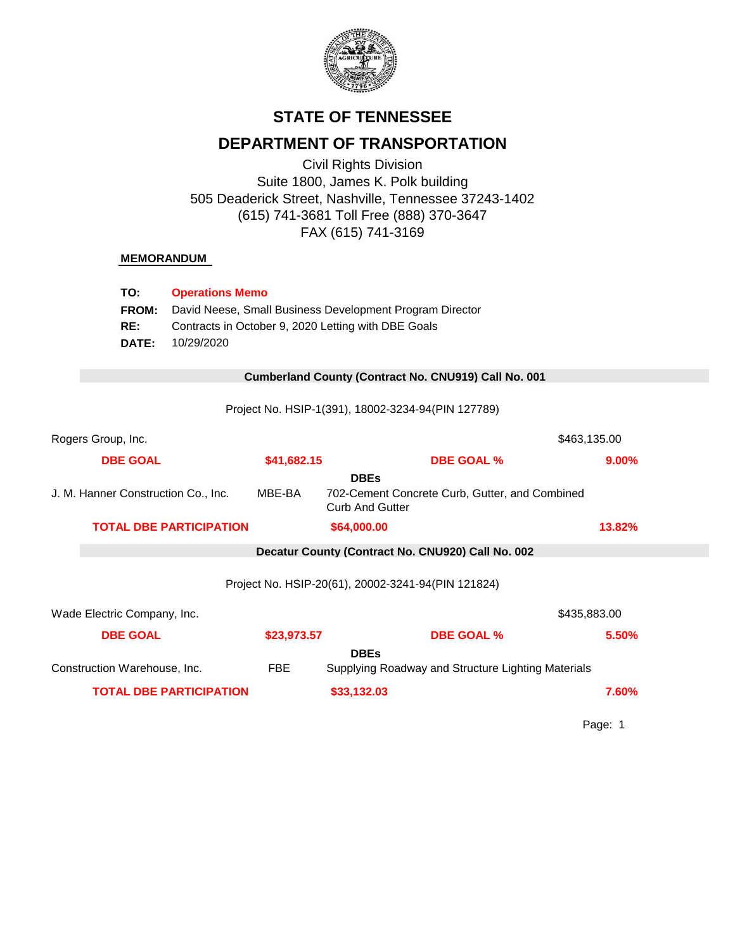

# **STATE OF TENNESSEE**

# **DEPARTMENT OF TRANSPORTATION**

Civil Rights Division Suite 1800, James K. Polk building 505 Deaderick Street, Nashville, Tennessee 37243-1402 (615) 741-3681 Toll Free (888) 370-3647 FAX (615) 741-3169

## **MEMORANDUM**

| TO:                                 | <b>Operations Memo</b>                                                                                          |             |                        |                                                      |              |  |
|-------------------------------------|-----------------------------------------------------------------------------------------------------------------|-------------|------------------------|------------------------------------------------------|--------------|--|
| FROM:                               | David Neese, Small Business Development Program Director<br>Contracts in October 9, 2020 Letting with DBE Goals |             |                        |                                                      |              |  |
| RE:                                 |                                                                                                                 |             |                        |                                                      |              |  |
| <b>DATE:</b>                        | 10/29/2020                                                                                                      |             |                        |                                                      |              |  |
|                                     |                                                                                                                 |             |                        |                                                      |              |  |
|                                     |                                                                                                                 |             |                        | Cumberland County (Contract No. CNU919) Call No. 001 |              |  |
|                                     |                                                                                                                 |             |                        | Project No. HSIP-1(391), 18002-3234-94(PIN 127789)   |              |  |
|                                     |                                                                                                                 |             |                        |                                                      |              |  |
| Rogers Group, Inc.                  |                                                                                                                 |             |                        |                                                      | \$463,135.00 |  |
| <b>DBE GOAL</b>                     |                                                                                                                 | \$41,682.15 |                        | <b>DBE GOAL %</b>                                    | 9.00%        |  |
|                                     |                                                                                                                 |             | <b>DBEs</b>            |                                                      |              |  |
| J. M. Hanner Construction Co., Inc. |                                                                                                                 | MBE-BA      | <b>Curb And Gutter</b> | 702-Cement Concrete Curb, Gutter, and Combined       |              |  |
|                                     | <b>TOTAL DBE PARTICIPATION</b>                                                                                  |             | \$64,000.00            |                                                      | 13.82%       |  |
|                                     |                                                                                                                 |             |                        | Decatur County (Contract No. CNU920) Call No. 002    |              |  |
|                                     |                                                                                                                 |             |                        |                                                      |              |  |
|                                     |                                                                                                                 |             |                        | Project No. HSIP-20(61), 20002-3241-94(PIN 121824)   |              |  |
| Wade Electric Company, Inc.         |                                                                                                                 |             |                        |                                                      | \$435,883.00 |  |
| <b>DBE GOAL</b>                     |                                                                                                                 | \$23,973.57 |                        | <b>DBE GOAL %</b>                                    | 5.50%        |  |
|                                     |                                                                                                                 |             | <b>DBEs</b>            |                                                      |              |  |
| Construction Warehouse, Inc.        |                                                                                                                 | <b>FBE</b>  |                        | Supplying Roadway and Structure Lighting Materials   |              |  |
|                                     | <b>TOTAL DBE PARTICIPATION</b>                                                                                  |             | \$33,132.03            |                                                      | 7.60%        |  |

Page: 1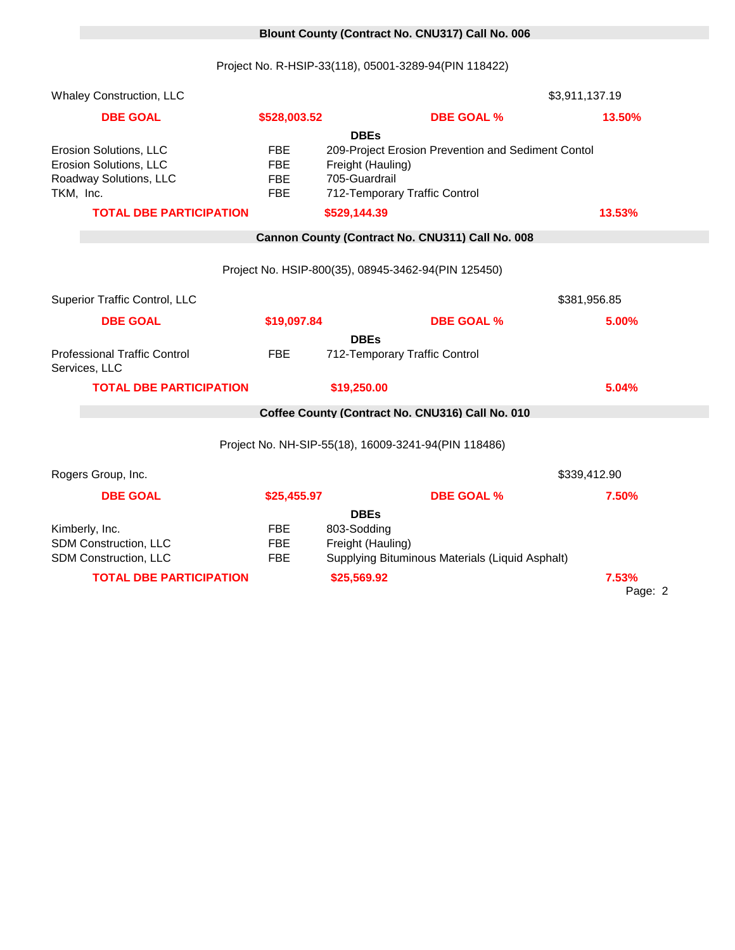# 0 **Blount County (Contract No. CNU317) Call No. 006**

Project No. R-HSIP-33(118), 05001-3289-94(PIN 118422)

| <b>Whaley Construction, LLC</b>                                              |              |                                                                         | \$3,911,137.19   |  |  |
|------------------------------------------------------------------------------|--------------|-------------------------------------------------------------------------|------------------|--|--|
| <b>DBE GOAL</b>                                                              | \$528,003.52 | <b>DBE GOAL %</b>                                                       | 13.50%           |  |  |
|                                                                              |              | <b>DBEs</b>                                                             |                  |  |  |
| Erosion Solutions, LLC<br><b>FBE</b><br>Erosion Solutions, LLC<br><b>FBE</b> |              | 209-Project Erosion Prevention and Sediment Contol<br>Freight (Hauling) |                  |  |  |
| Roadway Solutions, LLC                                                       | <b>FBE</b>   | 705-Guardrail                                                           |                  |  |  |
| TKM, Inc.                                                                    | <b>FBE</b>   | 712-Temporary Traffic Control                                           |                  |  |  |
| <b>TOTAL DBE PARTICIPATION</b>                                               |              | \$529,144.39                                                            | 13.53%           |  |  |
|                                                                              |              | Cannon County (Contract No. CNU311) Call No. 008                        |                  |  |  |
|                                                                              |              | Project No. HSIP-800(35), 08945-3462-94(PIN 125450)                     |                  |  |  |
| Superior Traffic Control, LLC                                                |              |                                                                         | \$381,956.85     |  |  |
| <b>DBE GOAL</b>                                                              | \$19,097.84  | <b>DBE GOAL %</b>                                                       | 5.00%            |  |  |
|                                                                              |              | <b>DBEs</b>                                                             |                  |  |  |
| <b>Professional Traffic Control</b><br>Services, LLC                         | <b>FBE</b>   | 712-Temporary Traffic Control                                           |                  |  |  |
| <b>TOTAL DBE PARTICIPATION</b>                                               |              | \$19,250.00                                                             | 5.04%            |  |  |
| Coffee County (Contract No. CNU316) Call No. 010                             |              |                                                                         |                  |  |  |
| Project No. NH-SIP-55(18), 16009-3241-94(PIN 118486)                         |              |                                                                         |                  |  |  |
| Rogers Group, Inc.                                                           |              |                                                                         | \$339,412.90     |  |  |
| <b>DBE GOAL</b>                                                              | \$25,455.97  | <b>DBE GOAL %</b>                                                       | 7.50%            |  |  |
|                                                                              |              | <b>DBEs</b>                                                             |                  |  |  |
| Kimberly, Inc.                                                               | <b>FBE</b>   | 803-Sodding                                                             |                  |  |  |
| SDM Construction, LLC                                                        | <b>FBE</b>   | Freight (Hauling)                                                       |                  |  |  |
| SDM Construction, LLC                                                        | <b>FBE</b>   | Supplying Bituminous Materials (Liquid Asphalt)                         |                  |  |  |
| <b>TOTAL DBE PARTICIPATION</b>                                               |              | \$25,569.92                                                             | 7.53%<br>Page: 2 |  |  |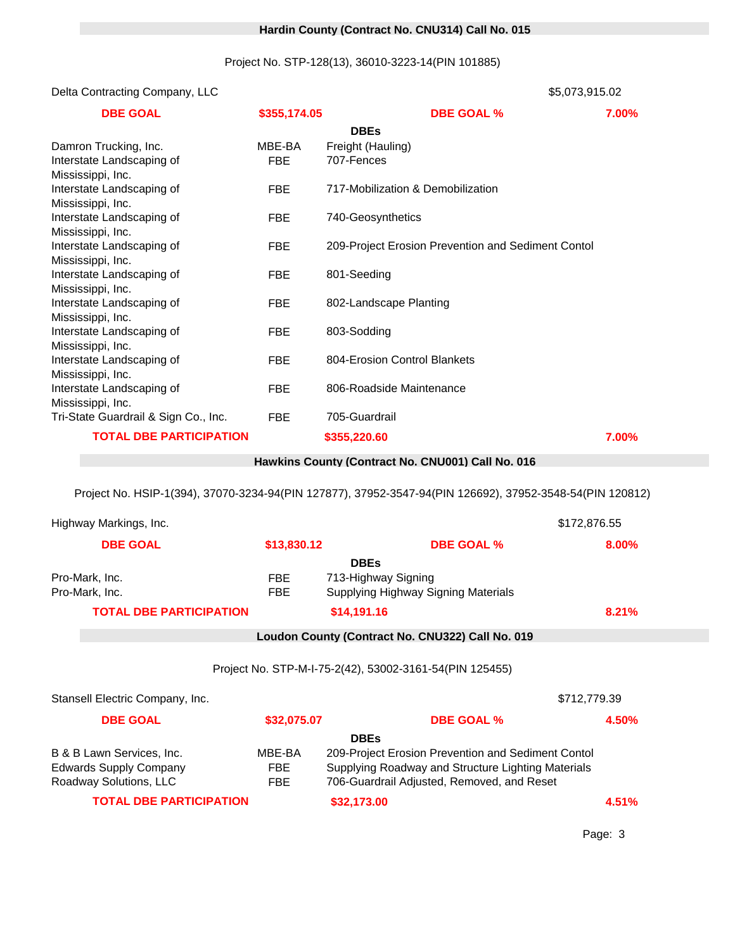## 0 **Hardin County (Contract No. CNU314) Call No. 015**

Project No. STP-128(13), 36010-3223-14(PIN 101885)

Delta Contracting Company, LLC 17710 \$5,073,915.02

| <b>DBE GOAL</b>                                | \$355,174.05 | <b>DBE GOAL %</b>                                  | 7.00% |
|------------------------------------------------|--------------|----------------------------------------------------|-------|
|                                                |              | <b>DBEs</b>                                        |       |
| Damron Trucking, Inc.                          | MBE-BA       | Freight (Hauling)                                  |       |
| Interstate Landscaping of                      | <b>FBE</b>   | 707-Fences                                         |       |
| Mississippi, Inc.                              |              |                                                    |       |
| Interstate Landscaping of                      | FBE          | 717-Mobilization & Demobilization                  |       |
| Mississippi, Inc.                              |              |                                                    |       |
| Interstate Landscaping of                      | <b>FBE</b>   | 740-Geosynthetics                                  |       |
| Mississippi, Inc.                              |              |                                                    |       |
| Interstate Landscaping of                      | <b>FBE</b>   | 209-Project Erosion Prevention and Sediment Contol |       |
| Mississippi, Inc.                              |              |                                                    |       |
| Interstate Landscaping of                      | <b>FBE</b>   | 801-Seeding                                        |       |
| Mississippi, Inc.                              |              |                                                    |       |
| Interstate Landscaping of                      | <b>FBE</b>   | 802-Landscape Planting                             |       |
| Mississippi, Inc.                              |              |                                                    |       |
| Interstate Landscaping of                      | <b>FBE</b>   | 803-Sodding                                        |       |
| Mississippi, Inc.                              |              | 804-Erosion Control Blankets                       |       |
| Interstate Landscaping of<br>Mississippi, Inc. | FBE          |                                                    |       |
| Interstate Landscaping of                      | <b>FBE</b>   | 806-Roadside Maintenance                           |       |
| Mississippi, Inc.                              |              |                                                    |       |
| Tri-State Guardrail & Sign Co., Inc.           | <b>FBE</b>   | 705-Guardrail                                      |       |
|                                                |              |                                                    |       |
| <b>TOTAL DBE PARTICIPATION</b>                 |              | \$355,220.60                                       | 7.00% |

## 0 **Hawkins County (Contract No. CNU001) Call No. 016**

Project No. HSIP-1(394), 37070-3234-94(PIN 127877), 37952-3547-94(PIN 126692), 37952-3548-54(PIN 120812)

| Highway Markings, Inc.          |             | \$172,876.55                                            |              |  |
|---------------------------------|-------------|---------------------------------------------------------|--------------|--|
| <b>DBE GOAL</b>                 | \$13,830.12 | <b>DBE GOAL %</b>                                       | 8.00%        |  |
|                                 |             | <b>DBEs</b>                                             |              |  |
| Pro-Mark, Inc.                  | FBE         | 713-Highway Signing                                     |              |  |
| Pro-Mark, Inc.                  | <b>FBE</b>  | Supplying Highway Signing Materials                     |              |  |
| <b>TOTAL DBE PARTICIPATION</b>  |             | \$14,191.16                                             | 8.21%        |  |
|                                 |             | Loudon County (Contract No. CNU322) Call No. 019        |              |  |
|                                 |             |                                                         |              |  |
|                                 |             | Project No. STP-M-I-75-2(42), 53002-3161-54(PIN 125455) |              |  |
| Stansell Electric Company, Inc. |             |                                                         | \$712,779.39 |  |
| <b>DBE GOAL</b>                 | \$32,075.07 | <b>DBE GOAL %</b>                                       | 4.50%        |  |
|                                 |             | <b>DBEs</b>                                             |              |  |
| B & B Lawn Services, Inc.       | MBE-BA      | 209-Project Erosion Prevention and Sediment Contol      |              |  |

Roadway Solutions, LLC FBE 706-Guardrail Adjusted, Removed, and Reset

Edwards Supply Company FBE Supplying Roadway and Structure Lighting Materials

**TOTAL DBE PARTICIPATION \$32,173.00 4.51%**

Page: 3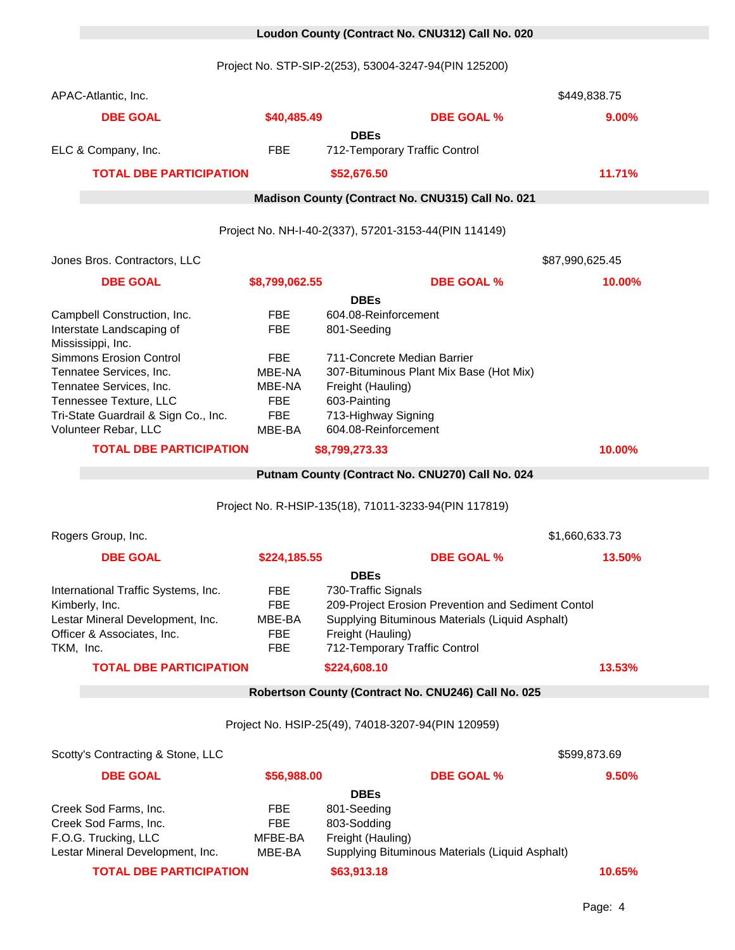## 0 **Loudon County (Contract No. CNU312) Call No. 020**

Project No. STP-SIP-2(253), 53004-3247-94(PIN 125200)

| APAC-Atlantic, Inc.                                                                                                                          |                                                                |                                                                                                                                                                                                   | \$449,838.75    |  |  |
|----------------------------------------------------------------------------------------------------------------------------------------------|----------------------------------------------------------------|---------------------------------------------------------------------------------------------------------------------------------------------------------------------------------------------------|-----------------|--|--|
| <b>DBE GOAL</b>                                                                                                                              | \$40,485.49                                                    | <b>DBE GOAL %</b>                                                                                                                                                                                 | 9.00%           |  |  |
| ELC & Company, Inc.                                                                                                                          | <b>FBE</b>                                                     | <b>DBEs</b><br>712-Temporary Traffic Control                                                                                                                                                      |                 |  |  |
| <b>TOTAL DBE PARTICIPATION</b>                                                                                                               |                                                                | \$52,676.50                                                                                                                                                                                       | 11.71%          |  |  |
|                                                                                                                                              |                                                                | Madison County (Contract No. CNU315) Call No. 021                                                                                                                                                 |                 |  |  |
|                                                                                                                                              |                                                                |                                                                                                                                                                                                   |                 |  |  |
|                                                                                                                                              |                                                                | Project No. NH-I-40-2(337), 57201-3153-44(PIN 114149)                                                                                                                                             |                 |  |  |
| Jones Bros. Contractors, LLC                                                                                                                 |                                                                |                                                                                                                                                                                                   | \$87,990,625.45 |  |  |
| <b>DBE GOAL</b>                                                                                                                              | \$8,799,062.55                                                 | <b>DBE GOAL %</b>                                                                                                                                                                                 | 10.00%          |  |  |
| Campbell Construction, Inc.<br>Interstate Landscaping of<br>Mississippi, Inc.<br><b>Simmons Erosion Control</b>                              | <b>FBE</b><br><b>FBE</b><br><b>FBE</b>                         | <b>DBEs</b><br>604.08-Reinforcement<br>801-Seeding<br>711-Concrete Median Barrier                                                                                                                 |                 |  |  |
| Tennatee Services, Inc.<br>Tennatee Services, Inc.<br>Tennessee Texture, LLC<br>Tri-State Guardrail & Sign Co., Inc.<br>Volunteer Rebar, LLC | MBE-NA<br>MBE-NA<br><b>FBE</b><br><b>FBE</b><br>MBE-BA         | 307-Bituminous Plant Mix Base (Hot Mix)<br>Freight (Hauling)<br>603-Painting<br>713-Highway Signing<br>604.08-Reinforcement                                                                       |                 |  |  |
| <b>TOTAL DBE PARTICIPATION</b>                                                                                                               |                                                                | \$8,799,273.33                                                                                                                                                                                    | 10.00%          |  |  |
|                                                                                                                                              |                                                                | Putnam County (Contract No. CNU270) Call No. 024                                                                                                                                                  |                 |  |  |
|                                                                                                                                              |                                                                | Project No. R-HSIP-135(18), 71011-3233-94(PIN 117819)                                                                                                                                             |                 |  |  |
| Rogers Group, Inc.                                                                                                                           |                                                                |                                                                                                                                                                                                   | \$1,660,633.73  |  |  |
| <b>DBE GOAL</b>                                                                                                                              | \$224,185.55                                                   | <b>DBE GOAL %</b>                                                                                                                                                                                 | 13.50%          |  |  |
| International Traffic Systems, Inc.<br>Kimberly, Inc.<br>Lestar Mineral Development, Inc.<br>Officer & Associates, Inc.<br>TKM, Inc.         | <b>FBE</b><br><b>FBE</b><br>MBE-BA<br><b>FBE</b><br><b>FBE</b> | <b>DBEs</b><br>730-Traffic Signals<br>209-Project Erosion Prevention and Sediment Contol<br>Supplying Bituminous Materials (Liquid Asphalt)<br>Freight (Hauling)<br>712-Temporary Traffic Control |                 |  |  |
| <b>TOTAL DBE PARTICIPATION</b>                                                                                                               |                                                                | \$224,608.10                                                                                                                                                                                      | 13.53%          |  |  |
| Robertson County (Contract No. CNU246) Call No. 025                                                                                          |                                                                |                                                                                                                                                                                                   |                 |  |  |
| Project No. HSIP-25(49), 74018-3207-94(PIN 120959)                                                                                           |                                                                |                                                                                                                                                                                                   |                 |  |  |
| Scotty's Contracting & Stone, LLC<br>\$599,873.69                                                                                            |                                                                |                                                                                                                                                                                                   |                 |  |  |
| <b>DBE GOAL</b>                                                                                                                              | \$56,988.00                                                    | <b>DBE GOAL %</b>                                                                                                                                                                                 | 9.50%           |  |  |
| Creek Sod Farms, Inc.<br>Creek Sod Farms, Inc.<br>F.O.G. Trucking, LLC<br>Lestar Mineral Development, Inc.                                   | <b>FBE</b><br><b>FBE</b><br>MFBE-BA<br>MBE-BA                  | <b>DBEs</b><br>801-Seeding<br>803-Sodding<br>Freight (Hauling)<br>Supplying Bituminous Materials (Liquid Asphalt)                                                                                 |                 |  |  |
| <b>TOTAL DBE PARTICIPATION</b>                                                                                                               |                                                                | \$63,913.18                                                                                                                                                                                       | 10.65%          |  |  |